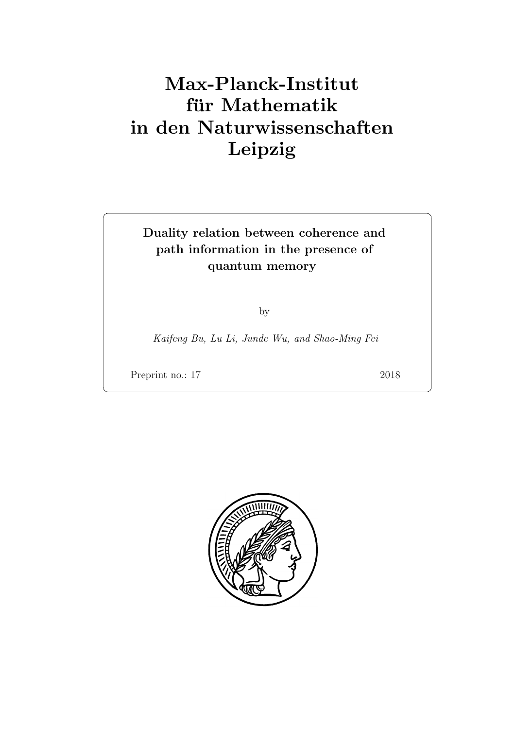# Max-Planck-Institut für Mathematik in den Naturwissenschaften Leipzig

# Duality relation between coherence and path information in the presence of quantum memory

by

Kaifeng Bu, Lu Li, Junde Wu, and Shao-Ming Fei

Preprint no.: 17 2018

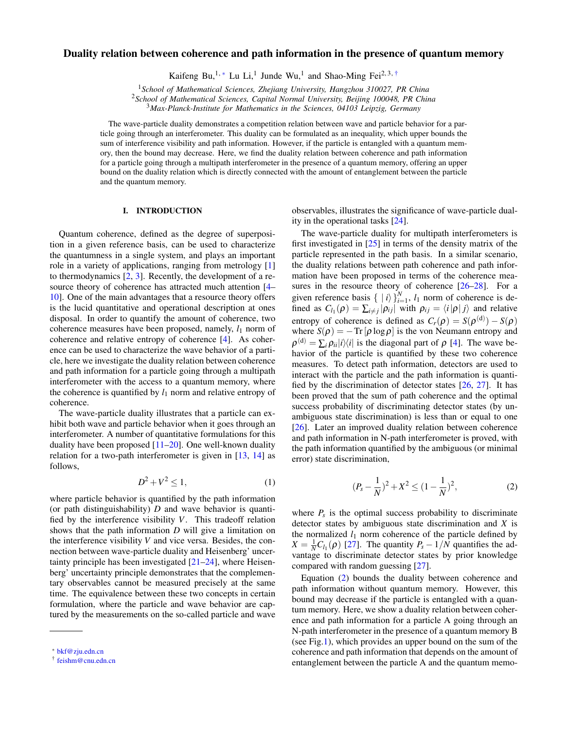## Duality relation between coherence and path information in the presence of quantum memory

Kaifeng Bu,<sup>1,\*</sup> Lu Li,<sup>1</sup> Junde Wu,<sup>1</sup> and Shao-Ming Fei<sup>2,3,[†](#page-2-1)</sup>

<sup>1</sup>*School of Mathematical Sciences, Zhejiang University, Hangzhou 310027, PR China*

<sup>2</sup>*School of Mathematical Sciences, Capital Normal University, Beijing 100048, PR China*

<sup>3</sup>*Max-Planck-Institute for Mathematics in the Sciences, 04103 Leipzig, Germany*

The wave-particle duality demonstrates a competition relation between wave and particle behavior for a particle going through an interferometer. This duality can be formulated as an inequality, which upper bounds the sum of interference visibility and path information. However, if the particle is entangled with a quantum memory, then the bound may decrease. Here, we find the duality relation between coherence and path information for a particle going through a multipath interferometer in the presence of a quantum memory, offering an upper bound on the duality relation which is directly connected with the amount of entanglement between the particle and the quantum memory.

### I. INTRODUCTION

Quantum coherence, defined as the degree of superposition in a given reference basis, can be used to characterize the quantumness in a single system, and plays an important role in a variety of applications, ranging from metrology [\[1\]](#page-6-0) to thermodynamics [\[2,](#page-6-1) [3\]](#page-7-0). Recently, the development of a resource theory of coherence has attracted much attention [\[4–](#page-7-1) [10\]](#page-7-2). One of the main advantages that a resource theory offers is the lucid quantitative and operational description at ones disposal. In order to quantify the amount of coherence, two coherence measures have been proposed, namely,  $l_1$  norm of coherence and relative entropy of coherence [\[4\]](#page-7-1). As coherence can be used to characterize the wave behavior of a particle, here we investigate the duality relation between coherence and path information for a particle going through a multipath interferometer with the access to a quantum memory, where the coherence is quantified by  $l_1$  norm and relative entropy of coherence.

The wave-particle duality illustrates that a particle can exhibit both wave and particle behavior when it goes through an interferometer. A number of quantitative formulations for this duality have been proposed  $[11–20]$  $[11–20]$ . One well-known duality relation for a two-path interferometer is given in [\[13,](#page-7-5) [14\]](#page-7-6) as follows,

$$
D^2 + V^2 \le 1,\tag{1}
$$

where particle behavior is quantified by the path information (or path distinguishability) *D* and wave behavior is quantified by the interference visibility *V*. This tradeoff relation shows that the path information *D* will give a limitation on the interference visibility *V* and vice versa. Besides, the connection between wave-particle duality and Heisenberg' uncertainty principle has been investigated [\[21–](#page-7-7)[24\]](#page-7-8), where Heisenberg' uncertainty principle demonstrates that the complementary observables cannot be measured precisely at the same time. The equivalence between these two concepts in certain formulation, where the particle and wave behavior are captured by the measurements on the so-called particle and wave

observables, illustrates the significance of wave-particle duality in the operational tasks [\[24\]](#page-7-8).

The wave-particle duality for multipath interferometers is first investigated in [\[25\]](#page-7-9) in terms of the density matrix of the particle represented in the path basis. In a similar scenario, the duality relations between path coherence and path information have been proposed in terms of the coherence mea-sures in the resource theory of coherence [\[26–](#page-7-10)[28\]](#page-7-11). For a given reference basis  $\{ |i\rangle\}_{i=1}^{N}$ ,  $l_1$  norm of coherence is defined as  $C_{l_1}(\rho) = \sum_{i \neq j} |\rho_{ij}|$  with  $\rho_{ij} = \langle i | \rho | j \rangle$  and relative entropy of coherence is defined as  $C_r(\rho) = S(\rho^{(d)}) - S(\rho)$ where  $S(\rho) = -\text{Tr}[\rho \log \rho]$  is the von Neumann entropy and  $\rho^{(d)} = \sum_i \rho_{ii} |i\rangle\langle i|$  is the diagonal part of  $\rho$  [\[4\]](#page-7-1). The wave behavior of the particle is quantified by these two coherence measures. To detect path information, detectors are used to interact with the particle and the path information is quantified by the discrimination of detector states [\[26,](#page-7-10) [27\]](#page-7-12). It has been proved that the sum of path coherence and the optimal success probability of discriminating detector states (by unambiguous state discrimination) is less than or equal to one [\[26\]](#page-7-10). Later an improved duality relation between coherence and path information in N-path interferometer is proved, with the path information quantified by the ambiguous (or minimal error) state discrimination,

<span id="page-2-2"></span>
$$
(P_s - \frac{1}{N})^2 + X^2 \le (1 - \frac{1}{N})^2,\tag{2}
$$

where  $P_s$  is the optimal success probability to discriminate detector states by ambiguous state discrimination and *X* is the normalized  $l_1$  norm coherence of the particle defined by  $X = \frac{1}{N}C_{l_1}(\rho)$  [\[27\]](#page-7-12). The quantity  $P_s - 1/N$  quantifies the advantage to discriminate detector states by prior knowledge compared with random guessing [\[27\]](#page-7-12).

Equation [\(2\)](#page-2-2) bounds the duality between coherence and path information without quantum memory. However, this bound may decrease if the particle is entangled with a quantum memory. Here, we show a duality relation between coherence and path information for a particle A going through an N-path interferometer in the presence of a quantum memory B (see Fig[.1\)](#page-3-0), which provides an upper bound on the sum of the coherence and path information that depends on the amount of entanglement between the particle A and the quantum memo-

<span id="page-2-0"></span><sup>∗</sup> [bkf@zju.edn.cn](mailto:bkf@zju.edn.cn)

<span id="page-2-1"></span><sup>†</sup> [feishm@cnu.edn.cn](mailto:feishm@cnu.edn.cn)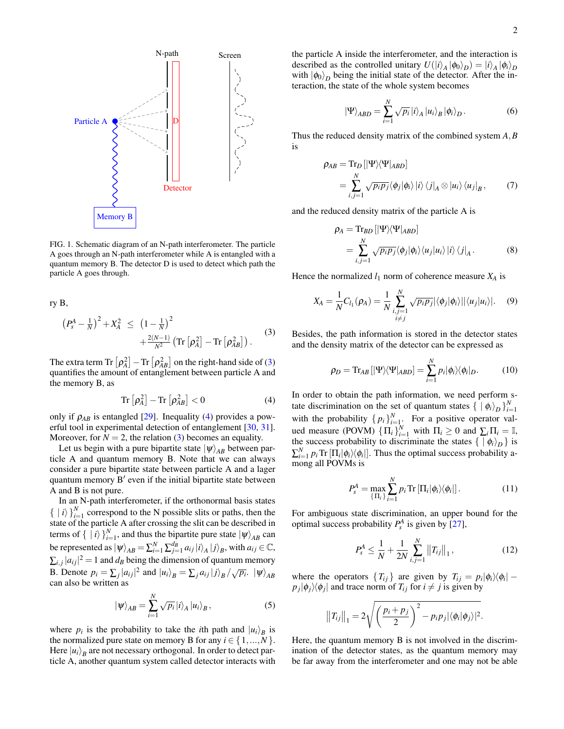

<span id="page-3-0"></span>FIG. 1. Schematic diagram of an N-path interferometer. The particle A goes through an N-path interferometer while A is entangled with a quantum memory B. The detector D is used to detect which path the particle A goes through.

<span id="page-3-1"></span>ry B,

$$
\left(P_s^A - \frac{1}{N}\right)^2 + X_A^2 \leq \left(1 - \frac{1}{N}\right)^2 + \frac{2(N-1)}{N^2} \left( \text{Tr} \left[\rho_A^2\right] - \text{Tr} \left[\rho_{AB}^2\right] \right).
$$
 (3)

The extra term Tr  $\left[ \rho_A^2 \right]$  - Tr  $\left[ \rho_{AB}^2 \right]$  on the right-hand side of [\(3\)](#page-3-1) quantifies the amount of entanglement between particle A and the memory B, as

<span id="page-3-2"></span>
$$
\operatorname{Tr}\left[\rho_A^2\right] - \operatorname{Tr}\left[\rho_{AB}^2\right] < 0\tag{4}
$$

only if  $\rho_{AB}$  is entangled [\[29\]](#page-7-13). Inequality [\(4\)](#page-3-2) provides a powerful tool in experimental detection of entanglement [\[30,](#page-7-14) [31\]](#page-7-15). Moreover, for  $N = 2$ , the relation [\(3\)](#page-3-1) becomes an equality.

Let us begin with a pure bipartite state  $|\psi\rangle_{AB}$  between particle A and quantum memory B. Note that we can always consider a pure bipartite state between particle A and a lager quantum memory  $B'$  even if the initial bipartite state between A and B is not pure.

In an N-path interferometer, if the orthonormal basis states  $\{ |i\rangle\}_{i=1}^{N}$  correspond to the N possible slits or paths, then the state of the particle A after crossing the slit can be described in terms of  $\{ |i\rangle\}_{i=1}^N$ , and thus the bipartite pure state  $|\psi\rangle_{AB}$  can be represented as  $|\psi\rangle_{AB} = \sum_{i=1}^{N} \sum_{j=1}^{d_B} a_{ij} |i\rangle_A |j\rangle_B$ , with  $a_{ij} \in \mathbb{C}$ ,  $\sum_{i,j} |a_{ij}|^2 = 1$  and  $d_B$  being the dimension of quantum memory B. Denote  $p_i = \sum_j |a_{ij}|^2$  and  $|u_i\rangle_B = \sum_j a_{ij} |j\rangle_B / \sqrt{p_i}$ .  $|\psi\rangle_{AB}$ can also be written as

<span id="page-3-4"></span>
$$
|\psi\rangle_{AB} = \sum_{i=1}^{N} \sqrt{p_i} |i\rangle_A |u_i\rangle_B, \qquad (5)
$$

where  $p_i$  is the probability to take the *i*th path and  $|u_i\rangle_B$  is the normalized pure state on memory B for any  $i \in \{1, ..., N\}$ . Here  $|u_i\rangle_B$  are not necessary orthogonal. In order to detect particle A, another quantum system called detector interacts with the particle A inside the interferometer, and the interaction is described as the controlled unitary  $U(|i\rangle_A |\phi_0\rangle_D) = |i\rangle_A |\phi_i\rangle_D$ with  $|\phi_0\rangle_D$  being the initial state of the detector. After the interaction, the state of the whole system becomes

<span id="page-3-8"></span>
$$
\left|\Psi\right\rangle_{ABD} = \sum_{i=1}^{N} \sqrt{p_i} \left|i\right\rangle_A \left|u_i\right\rangle_B \left|\phi_i\right\rangle_D. \tag{6}
$$

Thus the reduced density matrix of the combined system *A*,*B* is

<span id="page-3-6"></span>
$$
\rho_{AB} = \text{Tr}_{D} \left[ |\Psi\rangle\langle\Psi|_{ABD} \right]
$$
  
= 
$$
\sum_{i,j=1}^{N} \sqrt{p_{i}p_{j}} \langle \phi_{j} | \phi_{i} \rangle | i \rangle \langle j|_{A} \otimes |u_{i} \rangle \langle u_{j} |_{B},
$$
 (7)

and the reduced density matrix of the particle A is

<span id="page-3-7"></span>
$$
\rho_A = \text{Tr}_{BD} \left[ |\Psi\rangle\langle\Psi|_{ABD} \right]
$$
  
= 
$$
\sum_{i,j=1}^{N} \sqrt{p_i p_j} \langle \phi_j | \phi_i \rangle \langle u_j | u_i \rangle |i \rangle \langle j|_A.
$$
 (8)

Hence the normalized  $l_1$  norm of coherence measure  $X_A$  is

$$
X_A = \frac{1}{N} C_{l_1}(\rho_A) = \frac{1}{N} \sum_{\substack{i,j=1 \ i \neq j}}^N \sqrt{p_i p_j} |\langle \phi_j | \phi_i \rangle| |\langle u_j | u_i \rangle|.
$$
 (9)

Besides, the path information is stored in the detector states and the density matrix of the detector can be expressed as

<span id="page-3-5"></span>
$$
\rho_D = \mathrm{Tr}_{AB}\left[|\Psi\rangle\langle\Psi|_{ABD}\right] = \sum_{i=1}^N p_i |\phi_i\rangle\langle\phi_i|_D. \tag{10}
$$

In order to obtain the path information, we need perform state discrimination on the set of quantum states  $\{\bar{\phi} | \phi_i\rangle_D\}_{i=1}^N$ with the probability  $\{p_i\}_{i=1}^N$ . For a positive operator valued measure (POVM)  $\{\Pi_i\}_{i=1}^N$  with  $\Pi_i \geq 0$  and  $\sum_i \Pi_i = \mathbb{I}$ , the success probability to discriminate the states  $\{ | \phi_i \rangle_D \}$  is  $\sum_{i=1}^{N} p_i \text{Tr} \left[ \prod_i |\phi_i\rangle\langle\phi_i|\right]$ . Thus the optimal success probability among all POVMs is

$$
P_s^A = \max_{\{\Pi_i\}} \sum_{i=1}^N p_i \text{Tr} \left[\Pi_i |\phi_i\rangle\langle\phi_i|\right]. \tag{11}
$$

For ambiguous state discrimination, an upper bound for the optimal success probability  $P_s^A$  is given by [\[27\]](#page-7-12),

<span id="page-3-3"></span>
$$
P_s^A \le \frac{1}{N} + \frac{1}{2N} \sum_{i,j=1}^N ||T_{ij}||_1, \qquad (12)
$$

where the operators  $\{T_{ij}\}\$ are given by  $T_{ij} = p_i |\phi_i\rangle\langle\phi_i|$  –  $p_j|\phi_j\rangle\langle\phi_j|$  and trace norm of  $T_{ij}$  for  $i \neq j$  is given by

$$
||T_{ij}||_1 = 2\sqrt{\left(\frac{p_i+p_j}{2}\right)^2-p_i p_j |\langle \phi_i | \phi_j \rangle|^2}.
$$

Here, the quantum memory B is not involved in the discrimination of the detector states, as the quantum memory may be far away from the interferometer and one may not be able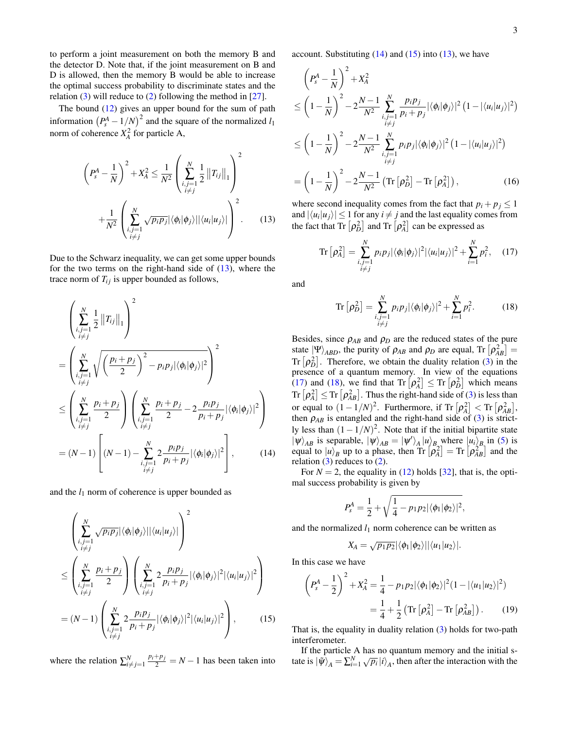to perform a joint measurement on both the memory B and the detector D. Note that, if the joint measurement on B and D is allowed, then the memory B would be able to increase the optimal success probability to discriminate states and the relation  $(3)$  will reduce to  $(2)$  following the method in  $[27]$ .

The bound [\(12\)](#page-3-3) gives an upper bound for the sum of path information  $(P_s^A - 1/N)^2$  and the square of the normalized *l*<sub>1</sub> norm of coherence  $X_A^2$  for particle A,

<span id="page-4-0"></span>
$$
\left(P_s^A - \frac{1}{N}\right)^2 + X_A^2 \le \frac{1}{N^2} \left(\sum_{\substack{i,j=1 \ i \ne j}}^N \frac{1}{2} ||T_{ij}||_1\right)^2
$$

$$
+ \frac{1}{N^2} \left(\sum_{\substack{i,j=1 \ i \ne j}}^N \sqrt{p_i p_j} |\langle \phi_i | \phi_j \rangle| |\langle u_i | u_j \rangle| \right)^2.
$$
(13)

Due to the Schwarz inequality, we can get some upper bounds for the two terms on the right-hand side of  $(13)$ , where the trace norm of  $T_{ij}$  is upper bounded as follows,

<span id="page-4-1"></span>
$$
\left(\sum_{\substack{i,j=1\\i\neq j}}^{N} \frac{1}{2} ||T_{ij}||_1\right)^2
$$
\n
$$
= \left(\sum_{\substack{i,j=1\\i\neq j}}^{N} \sqrt{\left(\frac{p_i + p_j}{2}\right)^2 - p_i p_j |\langle \phi_i | \phi_j \rangle|^2}\right)^2
$$
\n
$$
\leq \left(\sum_{\substack{i,j=1\\i\neq j}}^{N} \frac{p_i + p_j}{2}\right) \left(\sum_{\substack{i,j=1\\i\neq j}}^{N} \frac{p_i + p_j}{2} - 2\frac{p_i p_j}{p_i + p_j} |\langle \phi_i | \phi_j \rangle|^2\right)
$$
\n
$$
= (N-1) \left[ (N-1) - \sum_{\substack{i,j=1\\i\neq j}}^{N} \frac{2}{p_i + p_j} |\langle \phi_i | \phi_j \rangle|^2\right], \qquad (14)
$$

and the  $l_1$  norm of coherence is upper bounded as

<span id="page-4-2"></span>
$$
\left(\sum_{\substack{i,j=1\\i\neq j}}^N \sqrt{p_i p_j} |\langle \phi_i | \phi_j \rangle| |\langle u_i | u_j \rangle| \right)^2
$$
\n
$$
\leq \left(\sum_{\substack{i,j=1\\i\neq j}}^N \frac{p_i + p_j}{2}\right) \left(\sum_{\substack{i,j=1\\i\neq j}}^N 2 \frac{p_i p_j}{p_i + p_j} |\langle \phi_i | \phi_j \rangle|^2 |\langle u_i | u_j \rangle|^2\right)
$$
\n
$$
= (N-1) \left(\sum_{\substack{i,j=1\\i\neq j}}^N 2 \frac{p_i p_j}{p_i + p_j} |\langle \phi_i | \phi_j \rangle|^2 |\langle u_i | u_j \rangle|^2\right), \qquad (15)
$$

where the relation  $\sum_{i \neq j}^{N} \frac{p_i + p_j}{2} = N - 1$  has been taken into

account. Substituting  $(14)$  and  $(15)$  into  $(13)$ , we have

<span id="page-4-5"></span>
$$
\left(P_s^A - \frac{1}{N}\right)^2 + X_A^2
$$
\n
$$
\leq \left(1 - \frac{1}{N}\right)^2 - 2\frac{N-1}{N^2} \sum_{\substack{i,j=1 \\ i \neq j}}^N \frac{p_i p_j}{p_i + p_j} |\langle \phi_i | \phi_j \rangle|^2 (1 - |\langle u_i | u_j \rangle|^2)
$$
\n
$$
\leq \left(1 - \frac{1}{N}\right)^2 - 2\frac{N-1}{N^2} \sum_{\substack{i,j=1 \\ i \neq j}}^N p_i p_j |\langle \phi_i | \phi_j \rangle|^2 (1 - |\langle u_i | u_j \rangle|^2)
$$
\n
$$
= \left(1 - \frac{1}{N}\right)^2 - 2\frac{N-1}{N^2} \left( \text{Tr} \left[ \rho_D^2 \right] - \text{Tr} \left[ \rho_A^2 \right] \right), \tag{16}
$$

where second inequality comes from the fact that  $p_i + p_j \leq 1$ and  $|\langle u_i | u_j \rangle| \leq 1$  for any  $i \neq j$  and the last equality comes from the fact that  $\text{Tr}\left[\rho_D^2\right]$  and  $\text{Tr}\left[\rho_A^2\right]$  can be expressed as

<span id="page-4-3"></span>Tr 
$$
[\rho_A^2] = \sum_{\substack{i,j=1 \ i \neq j}}^N p_i p_j |\langle \phi_i | \phi_j \rangle|^2 |\langle u_i | u_j \rangle|^2 + \sum_{i=1}^N p_i^2
$$
, (17)

and

<span id="page-4-4"></span>
$$
\operatorname{Tr}\left[\rho_D^2\right] = \sum_{\substack{i,j=1\\i\neq j}}^N p_i p_j |\langle \phi_i | \phi_j \rangle|^2 + \sum_{i=1}^N p_i^2. \tag{18}
$$

Besides, since  $\rho_{AB}$  and  $\rho_D$  are the reduced states of the pure state  $|\Psi\rangle_{ABD}$ , the purity of  $\rho_{AB}$  and  $\rho_D$  are equal, Tr  $\left[\rho_{AB}^2\right]$  = Tr  $[\rho_D^2]$ . Therefore, we obtain the duality relation [\(3\)](#page-3-1) in the presence of a quantum memory. In view of the equations [\(17\)](#page-4-3) and [\(18\)](#page-4-4), we find that  $\text{Tr} \left[ \rho_A^2 \right] \leq \text{Tr} \left[ \rho_D^2 \right]$  which means  $\text{Tr}\left[\rho_A^2\right] \leq \text{Tr}\left[\rho_{AB}^2\right]$ . Thus the right-hand side of [\(3\)](#page-3-1) is less than or equal to  $(1 - 1/N)^2$ . Furthermore, if Tr  $[\rho_A^2] < Tr [\rho_{AB}^2]$ , then  $\rho_{AB}$  is entangled and the right-hand side of [\(3\)](#page-3-1) is strictly less than  $(1 - 1/N)^2$ . Note that if the initial bipartite state  $|\psi\rangle_{AB}$  is separable,  $|\psi\rangle_{AB} = |\psi'\rangle_{A} |u\rangle_{B}$  where  $|u_i\rangle_{B}$  in [\(5\)](#page-3-4) is equal to  $|u\rangle_B$  up to a phase, then  $\text{Tr} \left[ \rho_A^2 \right] = \text{Tr} \left[ \rho_{AB}^2 \right]$  and the relation  $(3)$  reduces to  $(2)$ .

For  $N = 2$ , the equality in [\(12\)](#page-3-3) holds [\[32\]](#page-7-16), that is, the optimal success probability is given by

$$
P_s^A = \frac{1}{2} + \sqrt{\frac{1}{4} - p_1 p_2 |\langle \phi_1 | \phi_2 \rangle|^2},
$$

and the normalized  $l_1$  norm coherence can be written as

$$
X_A = \sqrt{p_1p_2} |\langle \phi_1 | \phi_2 \rangle| |\langle u_1 | u_2 \rangle|.
$$

In this case we have

$$
\left(P_s^A - \frac{1}{2}\right)^2 + X_A^2 = \frac{1}{4} - p_1 p_2 |\langle \phi_1 | \phi_2 \rangle|^2 (1 - |\langle u_1 | u_2 \rangle|^2)
$$

$$
= \frac{1}{4} + \frac{1}{2} \left( \text{Tr} \left[ \rho_A^2 \right] - \text{Tr} \left[ \rho_{AB}^2 \right] \right). \tag{19}
$$

That is, the equality in duality relation [\(3\)](#page-3-1) holds for two-path interferometer.

If the particle A has no quantum memory and the initial sthe particle A has no quantum memory and the initial state is  $|\tilde{\psi}\rangle_A = \sum_{i=1}^N \sqrt{p_i} |i\rangle_A$ , then after the interaction with the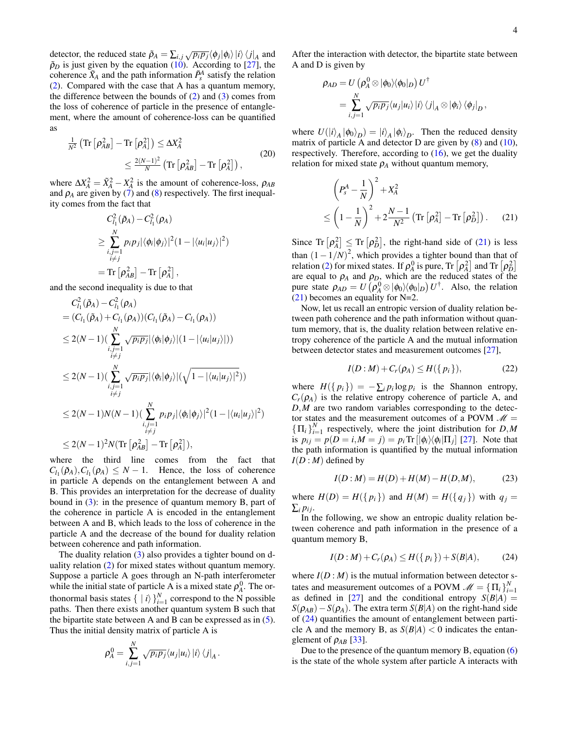detector, the reduced state  $\tilde{\rho}_A = \sum_{i,j} \sqrt{p_i p_j} \langle \phi_j | \phi_i \rangle |i \rangle \langle j|_A$  and  $\tilde{\rho}_D$  is just given by the equation [\(10\)](#page-3-5). According to [\[27\]](#page-7-12), the coherence  $\tilde{X}_A$  and the path information  $\tilde{P}_s^A$  satisfy the relation [\(2\)](#page-2-2). Compared with the case that A has a quantum memory, the difference between the bounds of  $(2)$  and  $(3)$  comes from the loss of coherence of particle in the presence of entanglement, where the amount of coherence-loss can be quantified as

$$
\frac{1}{N^2} \left( \text{Tr} \left[ \rho_{AB}^2 \right] - \text{Tr} \left[ \rho_A^2 \right] \right) \le \Delta X_A^2
$$
\n
$$
\le \frac{2(N-1)^2}{N} \left( \text{Tr} \left[ \rho_{AB}^2 \right] - \text{Tr} \left[ \rho_A^2 \right] \right), \tag{20}
$$

where  $\Delta X_A^2 = \tilde{X}_A^2 - X_A^2$  is the amount of coherence-loss,  $\rho_{AB}$ and  $\rho_A$  are given by [\(7\)](#page-3-6) and [\(8\)](#page-3-7) respectively. The first inequality comes from the fact that

$$
C_{l_1}^2(\tilde{\rho}_A) - C_{l_1}^2(\rho_A)
$$
  
\n
$$
\geq \sum_{\substack{i,j=1 \ i \neq j}}^N p_i p_j |\langle \phi_i | \phi_j \rangle|^2 (1 - |\langle u_i | u_j \rangle|^2)
$$
  
\n= Tr  $\left[ \rho_{AB}^2 \right] - Tr \left[ \rho_A^2 \right],$ 

and the second inequality is due to that

$$
C_{l_1}^2(\tilde{\rho}_A) - C_{l_1}^2(\rho_A)
$$
  
=  $(C_{l_1}(\tilde{\rho}_A) + C_{l_1}(\rho_A))(C_{l_1}(\tilde{\rho}_A) - C_{l_1}(\rho_A))$   
 $\leq 2(N-1)\left(\sum_{\substack{i,j=1 \ i \neq j}}^N \sqrt{p_i p_j} |\langle \phi_i | \phi_j \rangle | (1 - |\langle u_i | u_j \rangle | )\right)$   
 $\leq 2(N-1)\left(\sum_{\substack{i,j=1 \ i \neq j}}^N \sqrt{p_i p_j} |\langle \phi_i | \phi_j \rangle | (\sqrt{1 - |\langle u_i | u_j \rangle |^2})\right)$   
 $\leq 2(N-1)N(N-1)\left(\sum_{\substack{i,j=1 \ i \neq j}}^N p_i p_j |\langle \phi_i | \phi_j \rangle |^2 (1 - |\langle u_i | u_j \rangle |^2)\right)$   
 $\leq 2(N-1)N(N-1)\left(\sum_{\substack{i,j=1 \ i \neq j}}^N p_i p_j |\langle \phi_i | \phi_j \rangle |^2 (1 - |\langle u_i | u_j \rangle |^2)\right)$   
 $\leq 2(N-1)^2 N(\text{Tr}[\rho_A^2] - \text{Tr}[\rho_A^2]),$ 

where the third line comes from the fact that  $C_{l_1}(\tilde{\rho}_A), C_{l_1}(\rho_A) \leq N - 1$ . Hence, the loss of coherence in particle A depends on the entanglement between A and B. This provides an interpretation for the decrease of duality bound in [\(3\)](#page-3-1): in the presence of quantum memory B, part of the coherence in particle A is encoded in the entanglement between A and B, which leads to the loss of coherence in the particle A and the decrease of the bound for duality relation between coherence and path information.

The duality relation [\(3\)](#page-3-1) also provides a tighter bound on duality relation [\(2\)](#page-2-2) for mixed states without quantum memory. Suppose a particle A goes through an N-path interferometer while the initial state of particle A is a mixed state  $\rho_A^0$ . The orthonormal basis states  $\{ |i\rangle\}_{i=1}^N$  correspond to the N possible paths. Then there exists another quantum system B such that the bipartite state between A and B can be expressed as in [\(5\)](#page-3-4). Thus the initial density matrix of particle A is

$$
\rho_A^0 = \sum_{i,j=1}^N \sqrt{p_i p_j} \langle u_j | u_i \rangle | i \rangle \langle j |_A.
$$

After the interaction with detector, the bipartite state between A and D is given by

$$
\rho_{AD} = U \left( \rho_A^0 \otimes |\phi_0\rangle\langle\phi_0|_D \right) U^{\dagger} \n= \sum_{i,j=1}^N \sqrt{p_i p_j} \langle u_j | u_i \rangle |i\rangle \langle j|_A \otimes |\phi_i\rangle \langle\phi_j|_D,
$$

where  $U(|i\rangle_A |\phi_0\rangle_D) = |i\rangle_A |\phi_i\rangle_D$ . Then the reduced density matrix of particle A and detector D are given by  $(8)$  and  $(10)$ , respectively. Therefore, according to  $(16)$ , we get the duality relation for mixed state  $\rho_A$  without quantum memory,

<span id="page-5-0"></span>
$$
\left(P_s^A - \frac{1}{N}\right)^2 + X_A^2
$$
  
\n
$$
\leq \left(1 - \frac{1}{N}\right)^2 + 2\frac{N-1}{N^2} \left( \text{Tr}\left[\rho_A^2\right] - \text{Tr}\left[\rho_B^2\right] \right). \tag{21}
$$

Since  $\text{Tr} \left[ \rho_A^2 \right] \leq \text{Tr} \left[ \rho_D^2 \right]$ , the right-hand side of [\(21\)](#page-5-0) is less than  $(1 - 1/N)^2$ , which provides a tighter bound than that of relation [\(2\)](#page-2-2) for mixed states. If  $\rho_A^0$  is pure, Tr  $\left[\rho_A^2\right]$  and Tr  $\left[\rho_B^2\right]$ are equal to  $\rho_A$  and  $\rho_D$ , which are the reduced states of the pure state  $\rho_{AD} = U(\rho_A^0 \otimes |\phi_0\rangle\langle\phi_0|_D) U^{\dagger}$ . Also, the relation [\(21\)](#page-5-0) becomes an equality for N=2.

Now, let us recall an entropic version of duality relation between path coherence and the path information without quantum memory, that is, the duality relation between relative entropy coherence of the particle A and the mutual information between detector states and measurement outcomes [\[27\]](#page-7-12),

<span id="page-5-2"></span>
$$
I(D:M) + C_r(\rho_A) \le H(\{p_i\}),\tag{22}
$$

where  $H(\lbrace p_i \rbrace) = -\sum_i p_i \log p_i$  is the Shannon entropy,  $C_r(\rho_A)$  is the relative entropy coherence of particle A, and *D*,*M* are two random variables corresponding to the detector states and the measurement outcomes of a POVM  $\mathcal{M} =$  $\{\Pi_i\}_{i=1}^N$  respectively, where the joint distribution for *D*,*M* is  $p_{ij} = p(D = i, M = j) = p_i \text{Tr} \left[ |\phi_i\rangle \langle \phi_i| \Pi_j \right]$  [\[27\]](#page-7-12). Note that the path information is quantified by the mutual information  $I(D: M)$  defined by

$$
I(D: M) = H(D) + H(M) - H(D, M), \tag{23}
$$

where  $H(D) = H({p_i})$  and  $H(M) = H({q_i})$  with  $q_i =$  $\sum_i p_{ij}$ .

In the following, we show an entropic duality relation between coherence and path information in the presence of a quantum memory B,

<span id="page-5-1"></span>
$$
I(D: M) + C_r(\rho_A) \le H({p_i}) + S(B|A), \tag{24}
$$

where  $I(D : M)$  is the mutual information between detector states and measurement outcomes of a POVM  $\mathcal{M} = \{\Pi_i\}_{i=1}^N$ as defined in [\[27\]](#page-7-12) and the conditional entropy  $S(B|A)$  =  $S(\rho_{AB}) - S(\rho_A)$ . The extra term *S*(*B*|*A*) on the right-hand side of [\(24\)](#page-5-1) quantifies the amount of entanglement between particle A and the memory B, as  $S(B|A) < 0$  indicates the entanglement of  $\rho_{AB}$  [\[33\]](#page-7-17).

Due to the presence of the quantum memory B, equation [\(6\)](#page-3-8) is the state of the whole system after particle A interacts with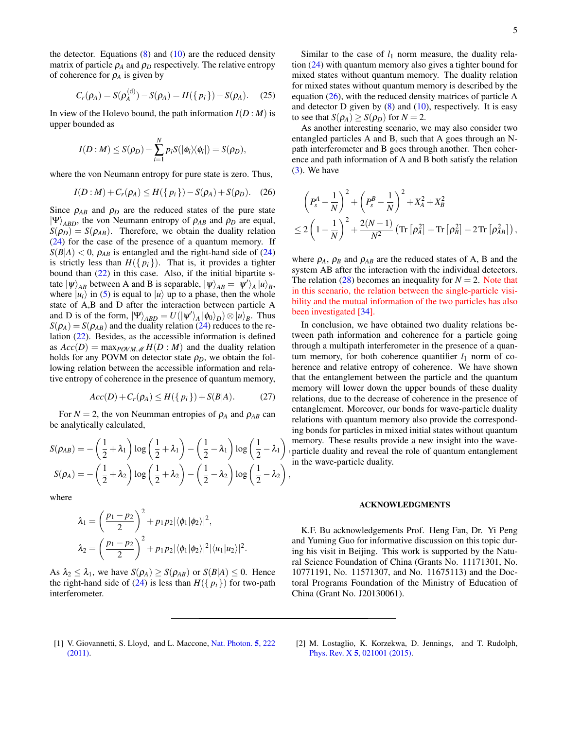the detector. Equations  $(8)$  and  $(10)$  are the reduced density matrix of particle  $\rho_A$  and  $\rho_D$  respectively. The relative entropy of coherence for  $\rho_A$  is given by

$$
C_r(\rho_A) = S(\rho_A^{(d)}) - S(\rho_A) = H(\{p_i\}) - S(\rho_A). \quad (25)
$$

In view of the Holevo bound, the path information  $I(D : M)$  is upper bounded as

$$
I(D:M) \leq S(\rho_D) - \sum_{i=1}^N p_i S(|\phi_i\rangle\langle\phi_i|) = S(\rho_D),
$$

where the von Neumann entropy for pure state is zero. Thus,

<span id="page-6-2"></span>
$$
I(D:M) + C_r(\rho_A) \le H({p_i}) - S(\rho_A) + S(\rho_D). \quad (26)
$$

Since  $\rho_{AB}$  and  $\rho_D$  are the reduced states of the pure state  $|\Psi\rangle_{ABD}$ , the von Neumann entropy of  $\rho_{AB}$  and  $\rho_D$  are equal,  $S(\rho_D) = S(\rho_{AB})$ . Therefore, we obtain the duality relation [\(24\)](#page-5-1) for the case of the presence of a quantum memory. If  $S(B|A) < 0$ ,  $\rho_{AB}$  is entangled and the right-hand side of [\(24\)](#page-5-1) is strictly less than  $H({p_i})$ . That is, it provides a tighter bound than [\(22\)](#page-5-2) in this case. Also, if the initial bipartite state  $|\psi\rangle_{AB}$  between A and B is separable,  $|\psi\rangle_{AB} = |\psi'\rangle_A |u\rangle_B$ , where  $|u_i\rangle$  in [\(5\)](#page-3-4) is equal to  $|u\rangle$  up to a phase, then the whole state of A,B and D after the interaction between particle A and D is of the form,  $|\Psi\rangle_{ABD} = U(|\psi'\rangle_A |\phi_0\rangle_D) \otimes |u\rangle_B$ . Thus  $S(\rho_A) = S(\rho_{AB})$  and the duality relation [\(24\)](#page-5-1) reduces to the relation [\(22\)](#page-5-2). Besides, as the accessible information is defined as  $Acc(D) = \max_{POVM \ M} H(D : M)$  and the duality relation holds for any POVM on detector state  $\rho_D$ , we obtain the following relation between the accessible information and relative entropy of coherence in the presence of quantum memory,

$$
Acc(D) + C_r(\rho_A) \le H({p_i}) + S(B|A). \tag{27}
$$

For  $N = 2$ , the von Neumman entropies of  $\rho_A$  and  $\rho_{AB}$  can be analytically calculated,

$$
S(\rho_{AB}) = -\left(\frac{1}{2} + \lambda_1\right) \log\left(\frac{1}{2} + \lambda_1\right) - \left(\frac{1}{2} - \lambda_1\right) \log\left(\frac{1}{2} - \lambda_1\right),
$$
  

$$
S(\rho_A) = -\left(\frac{1}{2} + \lambda_2\right) \log\left(\frac{1}{2} + \lambda_2\right) - \left(\frac{1}{2} - \lambda_2\right) \log\left(\frac{1}{2} - \lambda_2\right),
$$

where

$$
\lambda_1 = \left(\frac{p_1 - p_2}{2}\right)^2 + p_1 p_2 |\langle \phi_1 | \phi_2 \rangle|^2,
$$
  

$$
\lambda_2 = \left(\frac{p_1 - p_2}{2}\right)^2 + p_1 p_2 |\langle \phi_1 | \phi_2 \rangle|^2 |\langle u_1 | u_2 \rangle|^2.
$$

As  $\lambda_2 \leq \lambda_1$ , we have  $S(\rho_A) \geq S(\rho_{AB})$  or  $S(B|A) \leq 0$ . Hence the right-hand side of [\(24\)](#page-5-1) is less than  $H({p_i})$  for two-path interferometer.

Similar to the case of  $l_1$  norm measure, the duality relation [\(24\)](#page-5-1) with quantum memory also gives a tighter bound for mixed states without quantum memory. The duality relation for mixed states without quantum memory is described by the equation [\(26\)](#page-6-2), with the reduced density matrices of particle A and detector  $D$  given by  $(8)$  and  $(10)$ , respectively. It is easy to see that  $S(\rho_A) \geq S(\rho_D)$  for  $N = 2$ .

As another interesting scenario, we may also consider two entangled particles A and B, such that A goes through an Npath interferometer and B goes through another. Then coherence and path information of A and B both satisfy the relation  $(3)$ . We have

<span id="page-6-3"></span>
$$
\begin{aligned}&\left(P_s^A-\frac{1}{N}\right)^2+\left(P_s^B-\frac{1}{N}\right)^2+X_A^2+X_B^2\\&\leq 2\left(1-\frac{1}{N}\right)^2+\frac{2(N-1)}{N^2}\left(\operatorname{Tr}\left[\rho_A^2\right]+\operatorname{Tr}\left[\rho_B^2\right]-2\operatorname{Tr}\left[\rho_{AB}^2\right]\right),\end{aligned}
$$

where  $\rho_A$ ,  $\rho_B$  and  $\rho_{AB}$  are the reduced states of A, B and the system AB after the interaction with the individual detectors. The relation  $(28)$  becomes an inequality for  $N = 2$ . Note that in this scenario, the relation between the single-particle visibility and the mutual information of the two particles has also been investigated [\[34\]](#page-7-18).

, particle duality and reveal the role of quantum entanglement In conclusion, we have obtained two duality relations between path information and coherence for a particle going through a multipath interferometer in the presence of a quantum memory, for both coherence quantifier  $l_1$  norm of coherence and relative entropy of coherence. We have shown that the entanglement between the particle and the quantum memory will lower down the upper bounds of these duality relations, due to the decrease of coherence in the presence of entanglement. Moreover, our bonds for wave-particle duality relations with quantum memory also provide the corresponding bonds for particles in mixed initial states without quantum memory. These results provide a new insight into the wavein the wave-particle duality.

#### ACKNOWLEDGMENTS

K.F. Bu acknowledgements Prof. Heng Fan, Dr. Yi Peng and Yuming Guo for informative discussion on this topic during his visit in Beijing. This work is supported by the Natural Science Foundation of China (Grants No. 11171301, No. 10771191, No. 11571307, and No. 11675113) and the Doctoral Programs Foundation of the Ministry of Education of China (Grant No. J20130061).

- <span id="page-6-0"></span>[1] V. Giovannetti, S. Lloyd, and L. Maccone, [Nat. Photon.](http://dx.doi.org/10.1038/nphoton.2011.35) 5, 222 [\(2011\).](http://dx.doi.org/10.1038/nphoton.2011.35)
- <span id="page-6-1"></span>[2] M. Lostaglio, K. Korzekwa, D. Jennings, and T. Rudolph, Phys. Rev. X 5[, 021001 \(2015\).](http://dx.doi.org/10.1103/PhysRevX.5.021001)